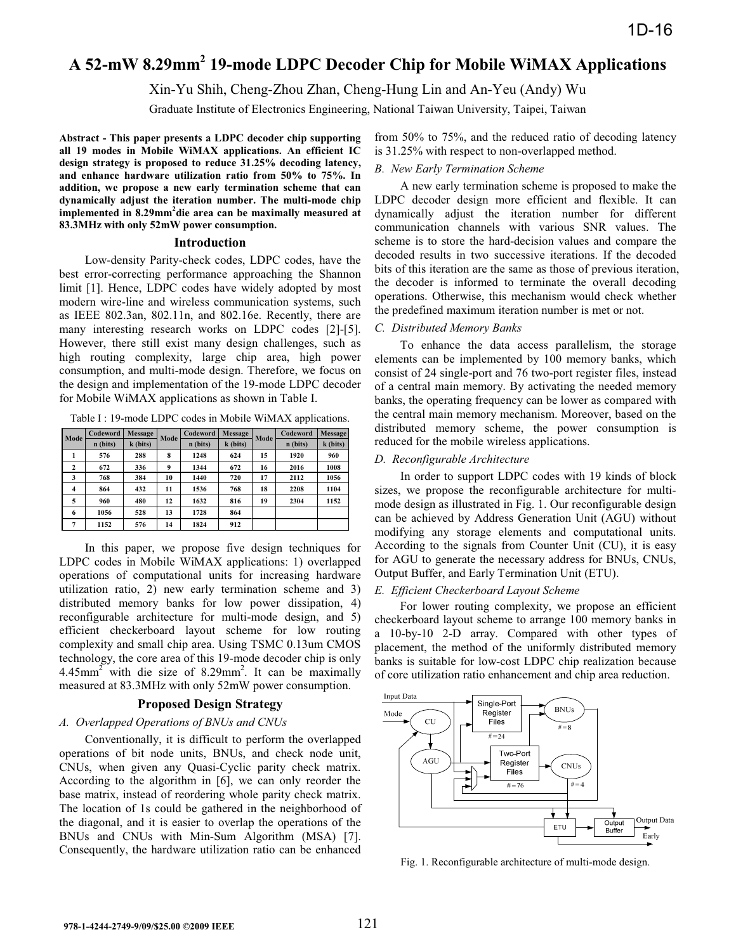# **A 52-mW 8.29mm2 19-mode LDPC Decoder Chip for Mobile WiMAX Applications**

Xin-Yu Shih, Cheng-Zhou Zhan, Cheng-Hung Lin and An-Yeu (Andy) Wu

Graduate Institute of Electronics Engineering, National Taiwan University, Taipei, Taiwan

**Abstract - This paper presents a LDPC decoder chip supporting all 19 modes in Mobile WiMAX applications. An efficient IC design strategy is proposed to reduce 31.25% decoding latency, and enhance hardware utilization ratio from 50% to 75%. In addition, we propose a new early termination scheme that can dynamically adjust the iteration number. The multi-mode chip implemented in 8.29mm2 die area can be maximally measured at 83.3MHz with only 52mW power consumption.** 

#### **Introduction**

Low-density Parity-check codes, LDPC codes, have the best error-correcting performance approaching the Shannon limit [1]. Hence, LDPC codes have widely adopted by most modern wire-line and wireless communication systems, such as IEEE 802.3an, 802.11n, and 802.16e. Recently, there are many interesting research works on LDPC codes [2]-[5]. However, there still exist many design challenges, such as high routing complexity, large chip area, high power consumption, and multi-mode design. Therefore, we focus on the design and implementation of the 19-mode LDPC decoder for Mobile WiMAX applications as shown in Table I.

Table I : 19-mode LDPC codes in Mobile WiMAX applications.

| Mode         | Codeword | <b>Message</b> | Mode             | Codeword | <b>Message</b> | Mode | Codeword | Message  |
|--------------|----------|----------------|------------------|----------|----------------|------|----------|----------|
|              | n (bits) | $k$ (bits)     |                  | n (bits) | k (bits)       |      | n (bits) | k (bits) |
|              | 576      | 288            | 8                | 1248     | 624            | 15   | 1920     | 960      |
| $\mathbf{2}$ | 672      | 336            | $\boldsymbol{9}$ | 1344     | 672            | 16   | 2016     | 1008     |
| 3            | 768      | 384            | 10               | 1440     | 720            | 17   | 2112     | 1056     |
| 4            | 864      | 432            | 11               | 1536     | 768            | 18   | 2208     | 1104     |
| 5            | 960      | 480            | 12               | 1632     | 816            | 19   | 2304     | 1152     |
| 6            | 1056     | 528            | 13               | 1728     | 864            |      |          |          |
| 7            | 1152     | 576            | 14               | 1824     | 912            |      |          |          |

In this paper, we propose five design techniques for LDPC codes in Mobile WiMAX applications: 1) overlapped operations of computational units for increasing hardware utilization ratio, 2) new early termination scheme and 3) distributed memory banks for low power dissipation, 4) reconfigurable architecture for multi-mode design, and 5) efficient checkerboard layout scheme for low routing complexity and small chip area. Using TSMC 0.13um CMOS technology, the core area of this 19-mode decoder chip is only  $4.45$ mm<sup>2</sup> with die size of 8.29mm<sup>2</sup>. It can be maximally measured at 83.3MHz with only 52mW power consumption.

# **Proposed Design Strategy**

# *A. Overlapped Operations of BNUs and CNUs*

Conventionally, it is difficult to perform the overlapped operations of bit node units, BNUs, and check node unit, CNUs, when given any Quasi-Cyclic parity check matrix. According to the algorithm in [6], we can only reorder the base matrix, instead of reordering whole parity check matrix. The location of 1s could be gathered in the neighborhood of the diagonal, and it is easier to overlap the operations of the BNUs and CNUs with Min-Sum Algorithm (MSA) [7]. Consequently, the hardware utilization ratio can be enhanced from 50% to 75%, and the reduced ratio of decoding latency is 31.25% with respect to non-overlapped method.

#### *B. New Early Termination Scheme*

A new early termination scheme is proposed to make the LDPC decoder design more efficient and flexible. It can dynamically adjust the iteration number for different communication channels with various SNR values. The scheme is to store the hard-decision values and compare the decoded results in two successive iterations. If the decoded bits of this iteration are the same as those of previous iteration, the decoder is informed to terminate the overall decoding operations. Otherwise, this mechanism would check whether the predefined maximum iteration number is met or not.

#### *C. Distributed Memory Banks*

To enhance the data access parallelism, the storage elements can be implemented by 100 memory banks, which consist of 24 single-port and 76 two-port register files, instead of a central main memory. By activating the needed memory banks, the operating frequency can be lower as compared with the central main memory mechanism. Moreover, based on the distributed memory scheme, the power consumption is reduced for the mobile wireless applications.

## *D. Reconfigurable Architecture*

In order to support LDPC codes with 19 kinds of block sizes, we propose the reconfigurable architecture for multimode design as illustrated in Fig. 1. Our reconfigurable design can be achieved by Address Generation Unit (AGU) without modifying any storage elements and computational units. According to the signals from Counter Unit (CU), it is easy for AGU to generate the necessary address for BNUs, CNUs, Output Buffer, and Early Termination Unit (ETU).

## *E. Efficient Checkerboard Layout Scheme*

For lower routing complexity, we propose an efficient checkerboard layout scheme to arrange 100 memory banks in a 10-by-10 2-D array. Compared with other types of placement, the method of the uniformly distributed memory banks is suitable for low-cost LDPC chip realization because of core utilization ratio enhancement and chip area reduction.



Fig. 1. Reconfigurable architecture of multi-mode design.